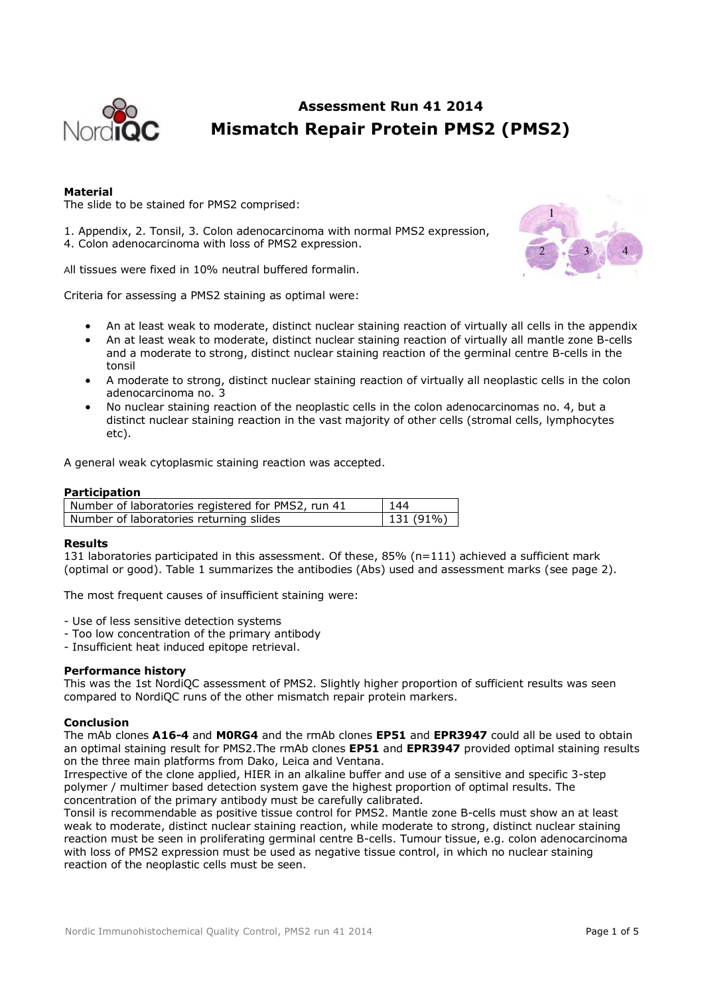

### **Assessment Run 41 2014 Mismatch Repair Protein PMS2 (PMS2)**

#### **Material**

The slide to be stained for PMS2 comprised:

1. Appendix, 2. Tonsil, 3. Colon adenocarcinoma with normal PMS2 expression, 4. Colon adenocarcinoma with loss of PMS2 expression.

All tissues were fixed in 10% neutral buffered formalin.

Criteria for assessing a PMS2 staining as optimal were:

- An at least weak to moderate, distinct nuclear staining reaction of virtually all cells in the appendix
- An at least weak to moderate, distinct nuclear staining reaction of virtually all mantle zone B-cells and a moderate to strong, distinct nuclear staining reaction of the germinal centre B-cells in the tonsil
- A moderate to strong, distinct nuclear staining reaction of virtually all neoplastic cells in the colon adenocarcinoma no. 3
- No nuclear staining reaction of the neoplastic cells in the colon adenocarcinomas no. 4, but a distinct nuclear staining reaction in the vast majority of other cells (stromal cells, lymphocytes etc).

A general weak cytoplasmic staining reaction was accepted.

#### **Participation**

| Number of laboratories registered for PMS2, run 41 | 144               |
|----------------------------------------------------|-------------------|
| Number of laboratories returning slides            | $\vert$ 131 (91%) |

#### **Results**

131 laboratories participated in this assessment. Of these, 85% (n=111) achieved a sufficient mark (optimal or good). Table 1 summarizes the antibodies (Abs) used and assessment marks (see page 2).

The most frequent causes of insufficient staining were:

- Use of less sensitive detection systems
- Too low concentration of the primary antibody
- Insufficient heat induced epitope retrieval.

#### **Performance history**

This was the 1st NordiQC assessment of PMS2. Slightly higher proportion of sufficient results was seen compared to NordiQC runs of the other mismatch repair protein markers.

#### **Conclusion**

The mAb clones **A16-4** and **M0RG4** and the rmAb clones **EP51** and **EPR3947** could all be used to obtain an optimal staining result for PMS2.The rmAb clones **EP51** and **EPR3947** provided optimal staining results on the three main platforms from Dako, Leica and Ventana.

Irrespective of the clone applied, HIER in an alkaline buffer and use of a sensitive and specific 3-step polymer / multimer based detection system gave the highest proportion of optimal results. The concentration of the primary antibody must be carefully calibrated.

Tonsil is recommendable as positive tissue control for PMS2. Mantle zone B-cells must show an at least weak to moderate, distinct nuclear staining reaction, while moderate to strong, distinct nuclear staining reaction must be seen in proliferating germinal centre B-cells. Tumour tissue, e.g. colon adenocarcinoma with loss of PMS2 expression must be used as negative tissue control, in which no nuclear staining reaction of the neoplastic cells must be seen.

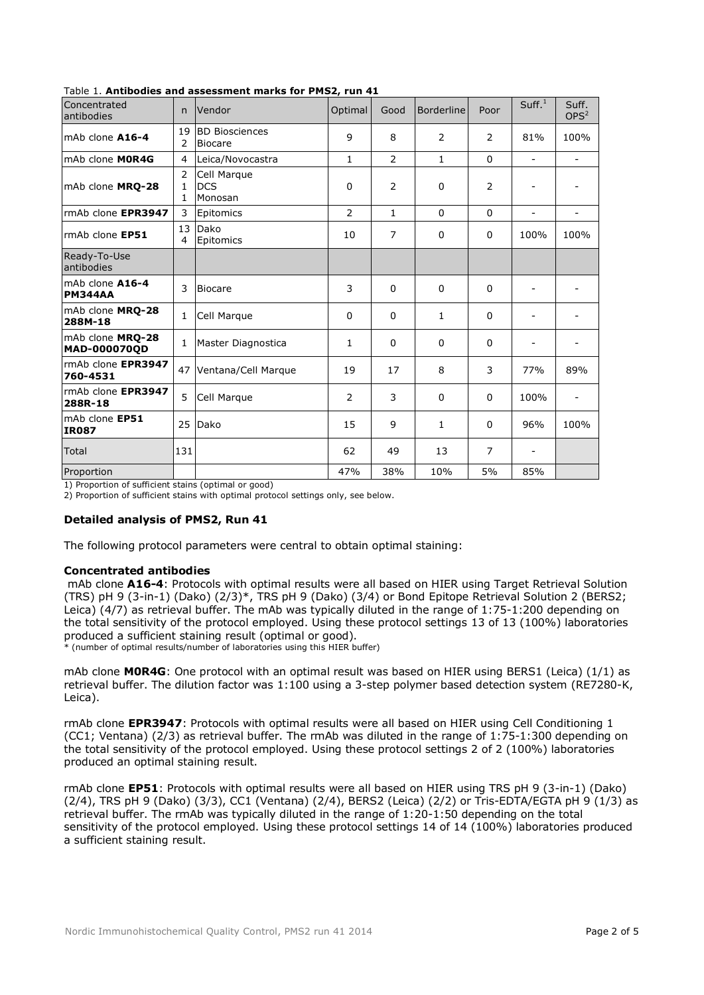| Concentrated<br>antibodies        | $\mathsf{n}$ | Vendor                                  | Optimal      | Good           | <b>Borderline</b> | Poor           | Suff. <sup>1</sup> | Suff.<br>OPS <sup>2</sup> |
|-----------------------------------|--------------|-----------------------------------------|--------------|----------------|-------------------|----------------|--------------------|---------------------------|
| mAb clone A16-4                   | 19<br>2      | <b>BD Biosciences</b><br><b>Biocare</b> | 9            | 8              | 2                 | 2              | 81%                | 100%                      |
| mAb clone MOR4G                   | 4            | Leica/Novocastra                        | $\mathbf{1}$ | $\overline{2}$ | $\mathbf{1}$      | $\Omega$       | $\sim$             | $\blacksquare$            |
| mAb clone MRQ-28                  | 2<br>1<br>1  | Cell Marque<br><b>DCS</b><br>Monosan    | 0            | $\overline{2}$ | $\mathbf 0$       | 2              |                    |                           |
| rmAb clone EPR3947                | 3            | Epitomics                               | 2            | $\mathbf{1}$   | $\Omega$          | $\Omega$       | $\blacksquare$     |                           |
| rmAb clone EP51                   | 13<br>4      | Dako<br>Epitomics                       | 10           | 7              | $\mathbf{0}$      | 0              | 100%               | 100%                      |
| Ready-To-Use<br>antibodies        |              |                                         |              |                |                   |                |                    |                           |
| mAb clone A16-4<br><b>PM344AA</b> | 3            | <b>Biocare</b>                          | 3            | 0              | $\Omega$          | $\mathbf 0$    |                    |                           |
| mAb clone MRO-28<br>288M-18       | $\mathbf{1}$ | Cell Marque                             | $\mathbf{0}$ | $\Omega$       | $\mathbf{1}$      | $\Omega$       |                    |                           |
| mAb clone MRO-28<br>MAD-000070QD  | 1            | Master Diagnostica                      | 1            | 0              | $\Omega$          | $\Omega$       |                    |                           |
| rmAb clone EPR3947<br>760-4531    | 47           | Ventana/Cell Marque                     | 19           | 17             | 8                 | 3              | 77%                | 89%                       |
| rmAb clone EPR3947<br>288R-18     | 5            | Cell Marque                             | 2            | 3              | $\Omega$          | $\mathbf 0$    | 100%               |                           |
| mAb clone EP51<br><b>IR087</b>    | 25           | Dako                                    | 15           | 9              | 1                 | $\Omega$       | 96%                | 100%                      |
| Total                             | 131          |                                         | 62           | 49             | 13                | $\overline{7}$ |                    |                           |
| Proportion                        |              |                                         | 47%          | 38%            | 10%               | 5%             | 85%                |                           |

#### Table 1. **Antibodies and assessment marks for PMS2, run 41**

1) Proportion of sufficient stains (optimal or good)

2) Proportion of sufficient stains with optimal protocol settings only, see below.

#### **Detailed analysis of PMS2, Run 41**

The following protocol parameters were central to obtain optimal staining:

#### **Concentrated antibodies**

mAb clone **A16-4**: Protocols with optimal results were all based on HIER using Target Retrieval Solution (TRS) pH 9 (3-in-1) (Dako) (2/3)\*, TRS pH 9 (Dako) (3/4) or Bond Epitope Retrieval Solution 2 (BERS2; Leica) (4/7) as retrieval buffer. The mAb was typically diluted in the range of 1:75-1:200 depending on the total sensitivity of the protocol employed. Using these protocol settings 13 of 13 (100%) laboratories produced a sufficient staining result (optimal or good).

\* (number of optimal results/number of laboratories using this HIER buffer)

mAb clone **M0R4G**: One protocol with an optimal result was based on HIER using BERS1 (Leica) (1/1) as retrieval buffer. The dilution factor was 1:100 using a 3-step polymer based detection system (RE7280-K, Leica).

rmAb clone **EPR3947**: Protocols with optimal results were all based on HIER using Cell Conditioning 1 (CC1; Ventana) (2/3) as retrieval buffer. The rmAb was diluted in the range of 1:75-1:300 depending on the total sensitivity of the protocol employed. Using these protocol settings 2 of 2 (100%) laboratories produced an optimal staining result.

rmAb clone **EP51**: Protocols with optimal results were all based on HIER using TRS pH 9 (3-in-1) (Dako) (2/4), TRS pH 9 (Dako) (3/3), CC1 (Ventana) (2/4), BERS2 (Leica) (2/2) or Tris-EDTA/EGTA pH 9 (1/3) as retrieval buffer. The rmAb was typically diluted in the range of 1:20-1:50 depending on the total sensitivity of the protocol employed. Using these protocol settings 14 of 14 (100%) laboratories produced a sufficient staining result.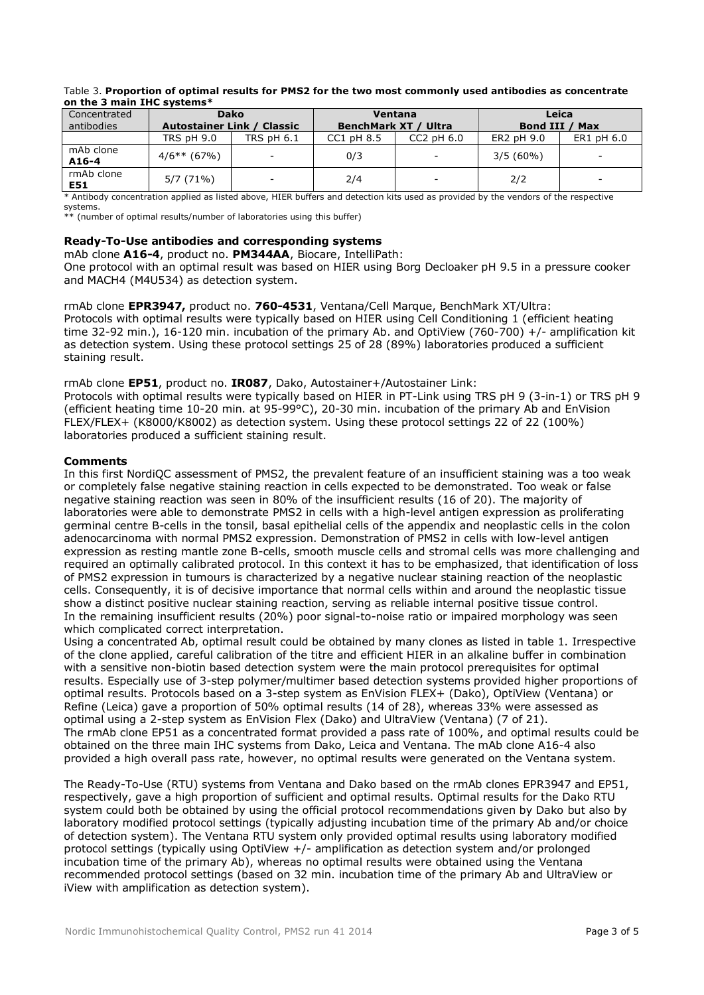| <u>UIL LIIC JIIIIIIIIIIII LIIC SYSLEIIIS</u> |                                   |             |                             |                          |                |                          |  |  |  |  |
|----------------------------------------------|-----------------------------------|-------------|-----------------------------|--------------------------|----------------|--------------------------|--|--|--|--|
| Concentrated                                 |                                   | <b>Dako</b> |                             | Ventana                  | Leica          |                          |  |  |  |  |
| antibodies                                   | <b>Autostainer Link / Classic</b> |             | <b>BenchMark XT / Ultra</b> |                          | Bond III / Max |                          |  |  |  |  |
|                                              | <b>TRS pH 9.0</b>                 | TRS pH 6.1  | $CC1$ pH $8.5$              | $CC2$ pH $6.0$           | ER2 pH 9.0     | ER1 pH 6.0               |  |  |  |  |
| mAb clone<br>$A16-4$                         | $4/6**$ (67%)                     | -           | 0/3                         | $\overline{\phantom{a}}$ | $3/5(60\%)$    | -                        |  |  |  |  |
| rmAb clone<br>E51                            | $5/7(71\%)$                       |             | 2/4                         | $\overline{\phantom{0}}$ | 2/2            | $\overline{\phantom{0}}$ |  |  |  |  |

#### Table 3. **Proportion of optimal results for PMS2 for the two most commonly used antibodies as concentrate on the 3 main IHC systems\***

\* Antibody concentration applied as listed above, HIER buffers and detection kits used as provided by the vendors of the respective systems.

\*\* (number of optimal results/number of laboratories using this buffer)

#### **Ready-To-Use antibodies and corresponding systems**

mAb clone **A16-4**, product no. **PM344AA**, Biocare, IntelliPath:

One protocol with an optimal result was based on HIER using Borg Decloaker pH 9.5 in a pressure cooker and MACH4 (M4U534) as detection system.

#### rmAb clone **EPR3947,** product no. **760-4531**, Ventana/Cell Marque, BenchMark XT/Ultra:

Protocols with optimal results were typically based on HIER using Cell Conditioning 1 (efficient heating time 32-92 min.), 16-120 min. incubation of the primary Ab. and OptiView (760-700) +/- amplification kit as detection system. Using these protocol settings 25 of 28 (89%) laboratories produced a sufficient staining result.

#### rmAb clone **EP51**, product no. **IR087**, Dako, Autostainer+/Autostainer Link:

Protocols with optimal results were typically based on HIER in PT-Link using TRS pH 9 (3-in-1) or TRS pH 9 (efficient heating time 10-20 min. at 95-99°C), 20-30 min. incubation of the primary Ab and EnVision FLEX/FLEX+ (K8000/K8002) as detection system. Using these protocol settings 22 of 22 (100%) laboratories produced a sufficient staining result.

#### **Comments**

In this first NordiQC assessment of PMS2, the prevalent feature of an insufficient staining was a too weak or completely false negative staining reaction in cells expected to be demonstrated. Too weak or false negative staining reaction was seen in 80% of the insufficient results (16 of 20). The majority of laboratories were able to demonstrate PMS2 in cells with a high-level antigen expression as proliferating germinal centre B-cells in the tonsil, basal epithelial cells of the appendix and neoplastic cells in the colon adenocarcinoma with normal PMS2 expression. Demonstration of PMS2 in cells with low-level antigen expression as resting mantle zone B-cells, smooth muscle cells and stromal cells was more challenging and required an optimally calibrated protocol. In this context it has to be emphasized, that identification of loss of PMS2 expression in tumours is characterized by a negative nuclear staining reaction of the neoplastic cells. Consequently, it is of decisive importance that normal cells within and around the neoplastic tissue show a distinct positive nuclear staining reaction, serving as reliable internal positive tissue control. In the remaining insufficient results (20%) poor signal-to-noise ratio or impaired morphology was seen which complicated correct interpretation.

Using a concentrated Ab, optimal result could be obtained by many clones as listed in table 1. Irrespective of the clone applied, careful calibration of the titre and efficient HIER in an alkaline buffer in combination with a sensitive non-biotin based detection system were the main protocol prerequisites for optimal results. Especially use of 3-step polymer/multimer based detection systems provided higher proportions of optimal results. Protocols based on a 3-step system as EnVision FLEX+ (Dako), OptiView (Ventana) or Refine (Leica) gave a proportion of 50% optimal results (14 of 28), whereas 33% were assessed as optimal using a 2-step system as EnVision Flex (Dako) and UltraView (Ventana) (7 of 21). The rmAb clone EP51 as a concentrated format provided a pass rate of 100%, and optimal results could be obtained on the three main IHC systems from Dako, Leica and Ventana. The mAb clone A16-4 also provided a high overall pass rate, however, no optimal results were generated on the Ventana system.

The Ready-To-Use (RTU) systems from Ventana and Dako based on the rmAb clones EPR3947 and EP51, respectively, gave a high proportion of sufficient and optimal results. Optimal results for the Dako RTU system could both be obtained by using the official protocol recommendations given by Dako but also by laboratory modified protocol settings (typically adjusting incubation time of the primary Ab and/or choice of detection system). The Ventana RTU system only provided optimal results using laboratory modified protocol settings (typically using OptiView +/- amplification as detection system and/or prolonged incubation time of the primary Ab), whereas no optimal results were obtained using the Ventana recommended protocol settings (based on 32 min. incubation time of the primary Ab and UltraView or iView with amplification as detection system).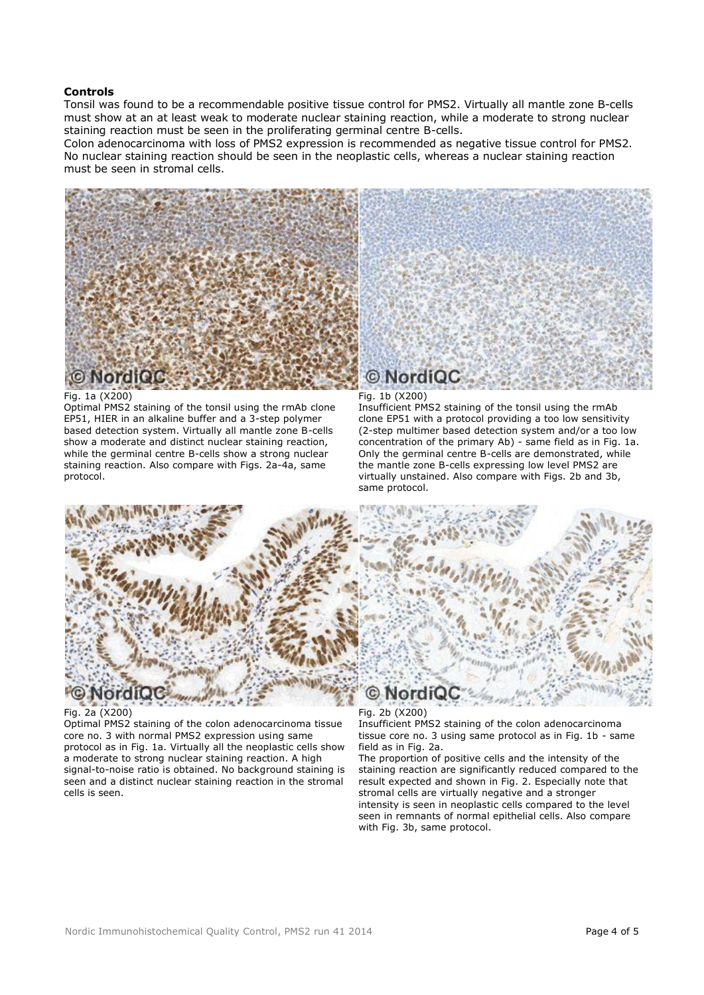#### **Controls**

Tonsil was found to be a recommendable positive tissue control for PMS2. Virtually all mantle zone B-cells must show at an at least weak to moderate nuclear staining reaction, while a moderate to strong nuclear staining reaction must be seen in the proliferating germinal centre B-cells.

Colon adenocarcinoma with loss of PMS2 expression is recommended as negative tissue control for PMS2. No nuclear staining reaction should be seen in the neoplastic cells, whereas a nuclear staining reaction must be seen in stromal cells.



#### Fig. 1a (X200)

Optimal PMS2 staining of the tonsil using the rmAb clone EP51, HIER in an alkaline buffer and a 3-step polymer based detection system. Virtually all mantle zone B-cells show a moderate and distinct nuclear staining reaction, while the germinal centre B-cells show a strong nuclear staining reaction. Also compare with Figs. 2a-4a, same protocol.

#### Fig. 1b (X200)

Insufficient PMS2 staining of the tonsil using the rmAb clone EP51 with a protocol providing a too low sensitivity (2-step multimer based detection system and/or a too low concentration of the primary Ab) - same field as in Fig. 1a. Only the germinal centre B-cells are demonstrated, while the mantle zone B-cells expressing low level PMS2 are virtually unstained. Also compare with Figs. 2b and 3b, same protocol.



#### Fig. 2a (X200)

Optimal PMS2 staining of the colon adenocarcinoma tissue core no. 3 with normal PMS2 expression using same protocol as in Fig. 1a. Virtually all the neoplastic cells show a moderate to strong nuclear staining reaction. A high signal-to-noise ratio is obtained. No background staining is seen and a distinct nuclear staining reaction in the stromal cells is seen.

Fig. 2b (X200) Insufficient PMS2 staining of the colon adenocarcinoma tissue core no. 3 using same protocol as in Fig. 1b - same field as in Fig. 2a.

The proportion of positive cells and the intensity of the staining reaction are significantly reduced compared to the result expected and shown in Fig. 2. Especially note that stromal cells are virtually negative and a stronger intensity is seen in neoplastic cells compared to the level seen in remnants of normal epithelial cells. Also compare with Fig. 3b, same protocol.